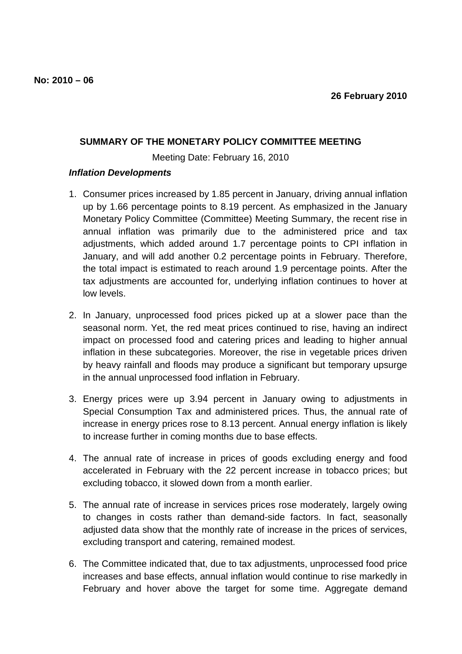## **SUMMARY OF THE MONETARY POLICY COMMITTEE MEETING**

Meeting Date: February 16, 2010

## **Inflation Developments**

- 1. Consumer prices increased by 1.85 percent in January, driving annual inflation up by 1.66 percentage points to 8.19 percent. As emphasized in the January Monetary Policy Committee (Committee) Meeting Summary, the recent rise in annual inflation was primarily due to the administered price and tax adjustments, which added around 1.7 percentage points to CPI inflation in January, and will add another 0.2 percentage points in February. Therefore, the total impact is estimated to reach around 1.9 percentage points. After the tax adjustments are accounted for, underlying inflation continues to hover at low levels.
- 2. In January, unprocessed food prices picked up at a slower pace than the seasonal norm. Yet, the red meat prices continued to rise, having an indirect impact on processed food and catering prices and leading to higher annual inflation in these subcategories. Moreover, the rise in vegetable prices driven by heavy rainfall and floods may produce a significant but temporary upsurge in the annual unprocessed food inflation in February.
- 3. Energy prices were up 3.94 percent in January owing to adjustments in Special Consumption Tax and administered prices. Thus, the annual rate of increase in energy prices rose to 8.13 percent. Annual energy inflation is likely to increase further in coming months due to base effects.
- 4. The annual rate of increase in prices of goods excluding energy and food accelerated in February with the 22 percent increase in tobacco prices; but excluding tobacco, it slowed down from a month earlier.
- 5. The annual rate of increase in services prices rose moderately, largely owing to changes in costs rather than demand-side factors. In fact, seasonally adjusted data show that the monthly rate of increase in the prices of services, excluding transport and catering, remained modest.
- 6. The Committee indicated that, due to tax adjustments, unprocessed food price increases and base effects, annual inflation would continue to rise markedly in February and hover above the target for some time. Aggregate demand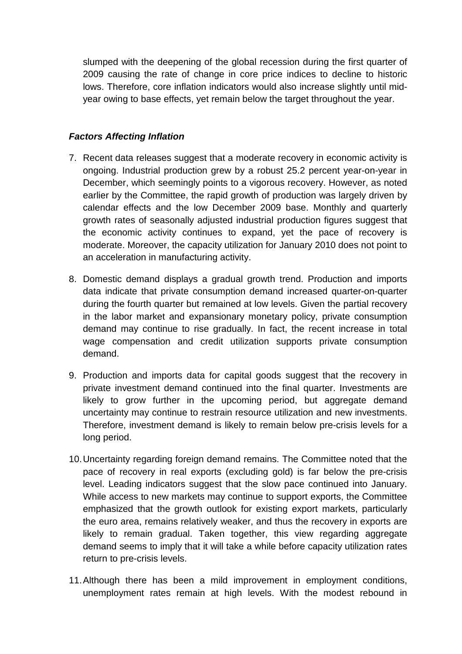slumped with the deepening of the global recession during the first quarter of 2009 causing the rate of change in core price indices to decline to historic lows. Therefore, core inflation indicators would also increase slightly until midyear owing to base effects, yet remain below the target throughout the year.

## **Factors Affecting Inflation**

- 7. Recent data releases suggest that a moderate recovery in economic activity is ongoing. Industrial production grew by a robust 25.2 percent year-on-year in December, which seemingly points to a vigorous recovery. However, as noted earlier by the Committee, the rapid growth of production was largely driven by calendar effects and the low December 2009 base. Monthly and quarterly growth rates of seasonally adjusted industrial production figures suggest that the economic activity continues to expand, yet the pace of recovery is moderate. Moreover, the capacity utilization for January 2010 does not point to an acceleration in manufacturing activity.
- 8. Domestic demand displays a gradual growth trend. Production and imports data indicate that private consumption demand increased quarter-on-quarter during the fourth quarter but remained at low levels. Given the partial recovery in the labor market and expansionary monetary policy, private consumption demand may continue to rise gradually. In fact, the recent increase in total wage compensation and credit utilization supports private consumption demand.
- 9. Production and imports data for capital goods suggest that the recovery in private investment demand continued into the final quarter. Investments are likely to grow further in the upcoming period, but aggregate demand uncertainty may continue to restrain resource utilization and new investments. Therefore, investment demand is likely to remain below pre-crisis levels for a long period.
- 10. Uncertainty regarding foreign demand remains. The Committee noted that the pace of recovery in real exports (excluding gold) is far below the pre-crisis level. Leading indicators suggest that the slow pace continued into January. While access to new markets may continue to support exports, the Committee emphasized that the growth outlook for existing export markets, particularly the euro area, remains relatively weaker, and thus the recovery in exports are likely to remain gradual. Taken together, this view regarding aggregate demand seems to imply that it will take a while before capacity utilization rates return to pre-crisis levels.
- 11. Although there has been a mild improvement in employment conditions, unemployment rates remain at high levels. With the modest rebound in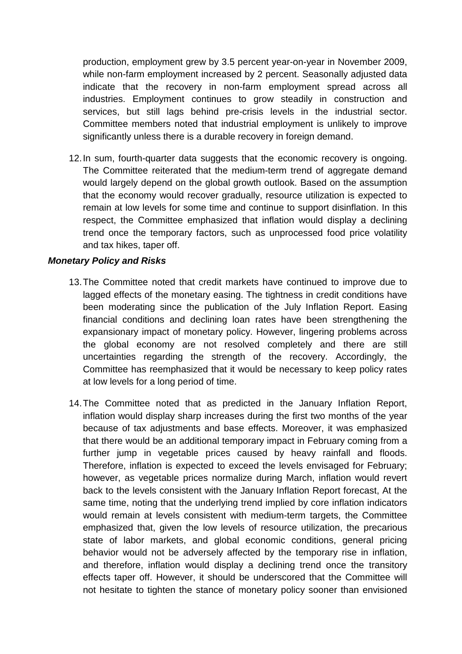production, employment grew by 3.5 percent year-on-year in November 2009, while non-farm employment increased by 2 percent. Seasonally adjusted data indicate that the recovery in non-farm employment spread across all industries. Employment continues to grow steadily in construction and services, but still lags behind pre-crisis levels in the industrial sector. Committee members noted that industrial employment is unlikely to improve significantly unless there is a durable recovery in foreign demand.

12. In sum, fourth-quarter data suggests that the economic recovery is ongoing. The Committee reiterated that the medium-term trend of aggregate demand would largely depend on the global growth outlook. Based on the assumption that the economy would recover gradually, resource utilization is expected to remain at low levels for some time and continue to support disinflation. In this respect, the Committee emphasized that inflation would display a declining trend once the temporary factors, such as unprocessed food price volatility and tax hikes, taper off.

## **Monetary Policy and Risks**

- 13. The Committee noted that credit markets have continued to improve due to lagged effects of the monetary easing. The tightness in credit conditions have been moderating since the publication of the July Inflation Report. Easing financial conditions and declining loan rates have been strengthening the expansionary impact of monetary policy. However, lingering problems across the global economy are not resolved completely and there are still uncertainties regarding the strength of the recovery. Accordingly, the Committee has reemphasized that it would be necessary to keep policy rates at low levels for a long period of time.
- 14. The Committee noted that as predicted in the January Inflation Report, inflation would display sharp increases during the first two months of the year because of tax adjustments and base effects. Moreover, it was emphasized that there would be an additional temporary impact in February coming from a further jump in vegetable prices caused by heavy rainfall and floods. Therefore, inflation is expected to exceed the levels envisaged for February; however, as vegetable prices normalize during March, inflation would revert back to the levels consistent with the January Inflation Report forecast, At the same time, noting that the underlying trend implied by core inflation indicators would remain at levels consistent with medium-term targets, the Committee emphasized that, given the low levels of resource utilization, the precarious state of labor markets, and global economic conditions, general pricing behavior would not be adversely affected by the temporary rise in inflation, and therefore, inflation would display a declining trend once the transitory effects taper off. However, it should be underscored that the Committee will not hesitate to tighten the stance of monetary policy sooner than envisioned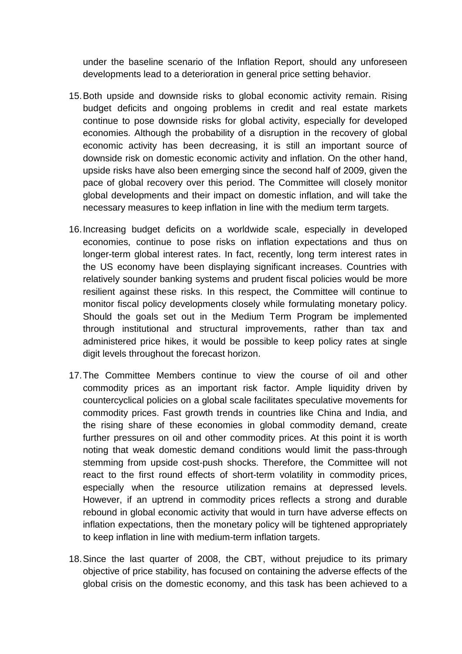under the baseline scenario of the Inflation Report, should any unforeseen developments lead to a deterioration in general price setting behavior.

- 15. Both upside and downside risks to global economic activity remain. Rising budget deficits and ongoing problems in credit and real estate markets continue to pose downside risks for global activity, especially for developed economies. Although the probability of a disruption in the recovery of global economic activity has been decreasing, it is still an important source of downside risk on domestic economic activity and inflation. On the other hand, upside risks have also been emerging since the second half of 2009, given the pace of global recovery over this period. The Committee will closely monitor global developments and their impact on domestic inflation, and will take the necessary measures to keep inflation in line with the medium term targets.
- 16. Increasing budget deficits on a worldwide scale, especially in developed economies, continue to pose risks on inflation expectations and thus on longer-term global interest rates. In fact, recently, long term interest rates in the US economy have been displaying significant increases. Countries with relatively sounder banking systems and prudent fiscal policies would be more resilient against these risks. In this respect, the Committee will continue to monitor fiscal policy developments closely while formulating monetary policy. Should the goals set out in the Medium Term Program be implemented through institutional and structural improvements, rather than tax and administered price hikes, it would be possible to keep policy rates at single digit levels throughout the forecast horizon.
- 17. The Committee Members continue to view the course of oil and other commodity prices as an important risk factor. Ample liquidity driven by countercyclical policies on a global scale facilitates speculative movements for commodity prices. Fast growth trends in countries like China and India, and the rising share of these economies in global commodity demand, create further pressures on oil and other commodity prices. At this point it is worth noting that weak domestic demand conditions would limit the pass-through stemming from upside cost-push shocks. Therefore, the Committee will not react to the first round effects of short-term volatility in commodity prices, especially when the resource utilization remains at depressed levels. However, if an uptrend in commodity prices reflects a strong and durable rebound in global economic activity that would in turn have adverse effects on inflation expectations, then the monetary policy will be tightened appropriately to keep inflation in line with medium-term inflation targets.
- 18. Since the last quarter of 2008, the CBT, without prejudice to its primary objective of price stability, has focused on containing the adverse effects of the global crisis on the domestic economy, and this task has been achieved to a